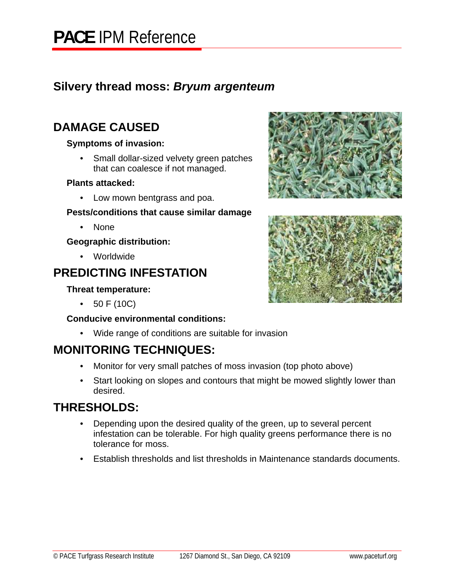### **Silvery thread moss:** *Bryum argenteum*

### **DAMAGE CAUSED**

### **Symptoms of invasion:**

• Small dollar-sized velvety green patches that can coalesce if not managed.

### **Plants attacked:**

• Low mown bentgrass and poa.

### **Pests/conditions that cause similar damage**

• None

### **Geographic distribution:**

• Worldwide

# **PREDICTING INFESTATION**

### **Threat temperature:**

• 50 F (10C)

### **Conducive environmental conditions:**

• Wide range of conditions are suitable for invasion

## **MONITORING TECHNIQUES:**

- Monitor for very small patches of moss invasion (top photo above)
- Start looking on slopes and contours that might be mowed slightly lower than desired.

## **THRESHOLDS:**

- Depending upon the desired quality of the green, up to several percent infestation can be tolerable. For high quality greens performance there is no tolerance for moss.
- Establish thresholds and list thresholds in Maintenance standards documents.